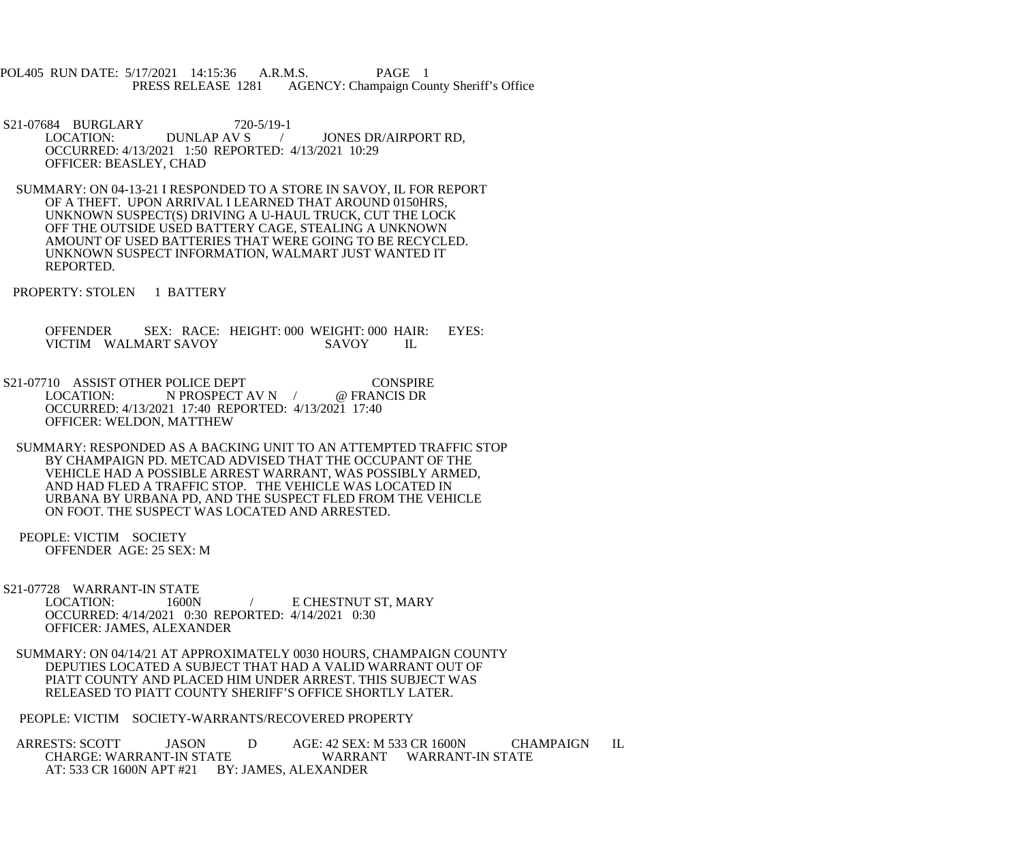POL405 RUN DATE: 5/17/2021 14:15:36 A.R.M.S. PAGE 1<br>PRESS RELEASE 1281 AGENCY: Champaign Cou AGENCY: Champaign County Sheriff's Office

S21-07684 BURGLARY 720-5/19-1<br>LOCATION: DUNLAP AV S / JONES DR/AIRPORT RD, OCCURRED: 4/13/2021 1:50 REPORTED: 4/13/2021 10:29 OFFICER: BEASLEY, CHAD

 SUMMARY: ON 04-13-21 I RESPONDED TO A STORE IN SAVOY, IL FOR REPORT OF A THEFT. UPON ARRIVAL I LEARNED THAT AROUND 0150HRS, UNKNOWN SUSPECT(S) DRIVING A U-HAUL TRUCK, CUT THE LOCK OFF THE OUTSIDE USED BATTERY CAGE, STEALING A UNKNOWN AMOUNT OF USED BATTERIES THAT WERE GOING TO BE RECYCLED. UNKNOWN SUSPECT INFORMATION, WALMART JUST WANTED IT REPORTED.

PROPERTY: STOLEN 1 BATTERY

OFFENDER SEX: RACE: HEIGHT: 000 WEIGHT: 000 HAIR: EYES:<br>VICTIM WALMART SAVOY SAVOY IL VICTIM WALMART SAVOY SAVOY IL

S21-07710 ASSIST OTHER POLICE DEPT CONSPIRE<br>LOCATION: N PROSPECT AV N / @ FRANCIS DR  $N$  PROSPECT AV N  $/$  OCCURRED: 4/13/2021 17:40 REPORTED: 4/13/2021 17:40 OFFICER: WELDON, MATTHEW

 SUMMARY: RESPONDED AS A BACKING UNIT TO AN ATTEMPTED TRAFFIC STOP BY CHAMPAIGN PD. METCAD ADVISED THAT THE OCCUPANT OF THE VEHICLE HAD A POSSIBLE ARREST WARRANT, WAS POSSIBLY ARMED, AND HAD FLED A TRAFFIC STOP. THE VEHICLE WAS LOCATED IN URBANA BY URBANA PD, AND THE SUSPECT FLED FROM THE VEHICLE ON FOOT. THE SUSPECT WAS LOCATED AND ARRESTED.

 PEOPLE: VICTIM SOCIETY OFFENDER AGE: 25 SEX: M

S21-07728 WARRANT-IN STATE<br>LOCATION: 1600N / E CHESTNUT ST, MARY OCCURRED: 4/14/2021 0:30 REPORTED: 4/14/2021 0:30 OFFICER: JAMES, ALEXANDER

 SUMMARY: ON 04/14/21 AT APPROXIMATELY 0030 HOURS, CHAMPAIGN COUNTY DEPUTIES LOCATED A SUBJECT THAT HAD A VALID WARRANT OUT OF PIATT COUNTY AND PLACED HIM UNDER ARREST. THIS SUBJECT WAS RELEASED TO PIATT COUNTY SHERIFF'S OFFICE SHORTLY LATER.

PEOPLE: VICTIM SOCIETY-WARRANTS/RECOVERED PROPERTY

ARRESTS: SCOTT JASON D AGE: 42 SEX: M 533 CR 1600N CHAMPAIGN IL CHARGE: WARRANT WARRANT WARRANT-IN STATE WARRANT WARRANT-IN STATE AT: 533 CR 1600N APT #21 BY: JAMES, ALEXANDER